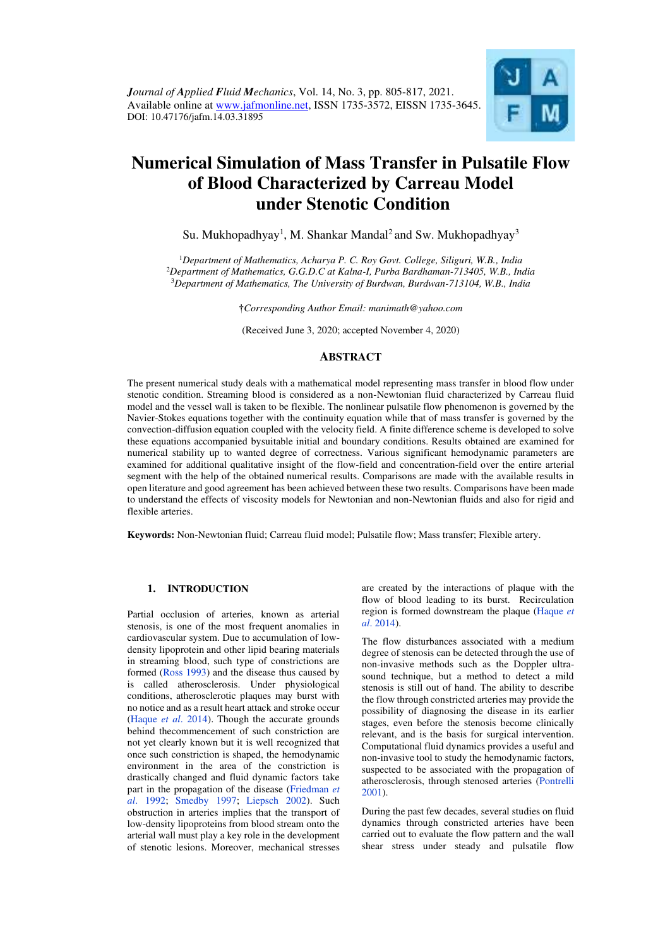

# **Numerical Simulation of Mass Transfer in Pulsatile Flow of Blood Characterized by Carreau Model under Stenotic Condition**

Su. Mukhopadhyay<sup>1</sup>, M. Shankar Mandal<sup>2</sup> and Sw. Mukhopadhyay<sup>3</sup>

<sup>1</sup>*Department of Mathematics, Acharya P. C. Roy Govt. College, Siliguri, W.B., India*  <sup>2</sup>*Department of Mathematics, G.G.D.C at Kalna-I, Purba Bardhaman-713405, W.B., India*  <sup>3</sup>*Department of Mathematics, The University of Burdwan, Burdwan-713104, W.B., India* 

†*Corresponding Author Email: manimath@yahoo.com* 

(Received June 3, 2020; accepted November 4, 2020)

# **ABSTRACT**

The present numerical study deals with a mathematical model representing mass transfer in blood flow under stenotic condition. Streaming blood is considered as a non-Newtonian fluid characterized by Carreau fluid model and the vessel wall is taken to be flexible. The nonlinear pulsatile flow phenomenon is governed by the Navier-Stokes equations together with the continuity equation while that of mass transfer is governed by the convection-diffusion equation coupled with the velocity field. A finite difference scheme is developed to solve these equations accompanied bysuitable initial and boundary conditions. Results obtained are examined for numerical stability up to wanted degree of correctness. Various significant hemodynamic parameters are examined for additional qualitative insight of the flow-field and concentration-field over the entire arterial segment with the help of the obtained numerical results. Comparisons are made with the available results in open literature and good agreement has been achieved between these two results. Comparisons have been made to understand the effects of viscosity models for Newtonian and non-Newtonian fluids and also for rigid and flexible arteries.

**Keywords:** Non-Newtonian fluid; Carreau fluid model; Pulsatile flow; Mass transfer; Flexible artery.

## **1. INTRODUCTION**

Partial occlusion of arteries, known as arterial stenosis, is one of the most frequent anomalies in cardiovascular system. Due to accumulation of lowdensity lipoprotein and other lipid bearing materials in streaming blood, such type of constrictions are formed [\(Ross 1993\)](#page-12-0) and the disease thus caused by is called atherosclerosis. Under physiological conditions, atherosclerotic plaques may burst with no notice and as a result heart attack and stroke occur [\(Haque](#page-11-0) *et al*. 2014). Though the accurate grounds behind thecommencement of such constriction are not yet clearly known but it is well recognized that once such constriction is shaped, the hemodynamic environment in the area of the constriction is drastically changed and fluid dynamic factors take part in the propagation of the disease [\(Friedman](#page-11-1) *et al*[. 1992;](#page-11-1) [Smedby 1997;](#page-12-1) [Liepsch 2002\)](#page-11-2). Such obstruction in arteries implies that the transport of low-density lipoproteins from blood stream onto the arterial wall must play a key role in the development of stenotic lesions. Moreover, mechanical stresses

are created by the interactions of plaque with the flow of blood leading to its burst. Recirculation region is formed downstream the plaque [\(Haque](#page-11-0) *et al*[. 2014\)](#page-11-0).

The flow disturbances associated with a medium degree of stenosis can be detected through the use of non-invasive methods such as the Doppler ultrasound technique, but a method to detect a mild stenosis is still out of hand. The ability to describe the flow through constricted arteries may provide the possibility of diagnosing the disease in its earlier stages, even before the stenosis become clinically relevant, and is the basis for surgical intervention. Computational fluid dynamics provides a useful and non-invasive tool to study the hemodynamic factors, suspected to be associated with the propagation of atherosclerosis, through stenosed arteries [\(Pontrelli](#page-12-2)  [2001\)](#page-12-2).

During the past few decades, several studies on fluid dynamics through constricted arteries have been carried out to evaluate the flow pattern and the wall shear stress under steady and pulsatile flow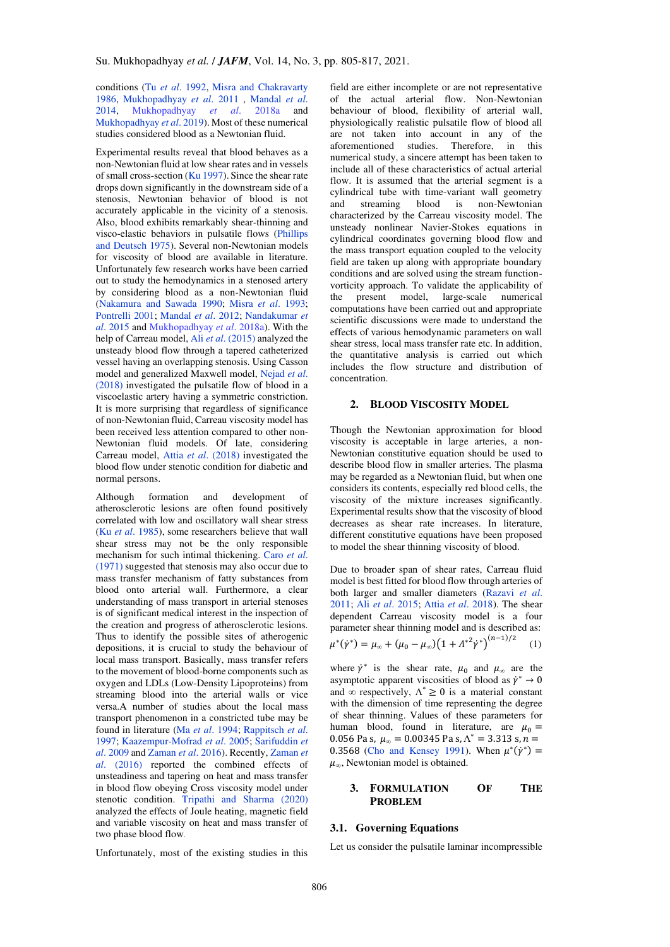conditions (Tu *et al*[. 1992,](#page-12-3) [Misra and Chakravarty](#page-11-3)  [1986,](#page-11-3) [Mukhopadhyay](#page-11-4) *et al*. 2011 , [Mandal](#page-11-5) *et al*. [2014,](#page-11-5) [Mukhopadhyay](#page-11-6) *et al*. 2018a and [Mukhopadhyay](#page-11-4) *et al*. 2019). Most of these numerical studies considered blood as a Newtonian fluid.

Experimental results reveal that blood behaves as a non-Newtonian fluid at low shear rates and in vessels of small cross-section [\(Ku 1997\)](#page-11-7). Since the shear rate drops down significantly in the downstream side of a stenosis, Newtonian behavior of blood is not accurately applicable in the vicinity of a stenosis. Also, blood exhibits remarkably shear-thinning and visco-elastic behaviors in pulsatile flows [\(Phillips](#page-12-4)  [and Deutsch 1975\)](#page-12-4). Several non-Newtonian models for viscosity of blood are available in literature. Unfortunately few research works have been carried out to study the hemodynamics in a stenosed artery by considering blood as a non-Newtonian fluid [\(Nakamura and Sawada 1990;](#page-11-8) Misra *et al*[. 1993;](#page-11-3)  [Pontrelli 2001;](#page-12-2) [Mandal](#page-11-5) *et al*. 2012; [Nandakumar](#page-1-0) *et al*[. 2015](#page-1-0) and [Mukhopadhyay](#page-11-6) *et al*. 2018a). With the help of Carreau model, Ali *et al*. (2015) analyzed the unsteady blood flow through a tapered catheterized vessel having an overlapping stenosis. Using Casson model and generalized Maxwell model, Nejad *et al*. (2018) investigated the pulsatile flow of blood in a viscoelastic artery having a symmetric constriction. It is more surprising that regardless of significance of non-Newtonian fluid, Carreau viscosity model has been received less attention compared to other non-Newtonian fluid models. Of late, considering Carreau model, Attia *et al*[. \(2018\)](#page-11-9) investigated the blood flow under stenotic condition for diabetic and normal persons.

Although formation and development of atherosclerotic lesions are often found positively correlated with low and oscillatory wall shear stress (Ku *et al*[. 1985\)](#page-11-7), some researchers believe that wall shear stress may not be the only responsible mechanism for such intimal thickening. [Caro](#page-11-10) *et al*. [\(1971\)](#page-11-10) suggested that stenosis may also occur due to mass transfer mechanism of fatty substances from blood onto arterial wall. Furthermore, a clear understanding of mass transport in arterial stenoses is of significant medical interest in the inspection of the creation and progress of atherosclerotic lesions. Thus to identify the possible sites of atherogenic depositions, it is crucial to study the behaviour of local mass transport. Basically, mass transfer refers to the movement of blood-borne components such as oxygen and LDLs (Low-Density Lipoproteins) from streaming blood into the arterial walls or vice versa.A number of studies about the local mass transport phenomenon in a constricted tube may be found in literature (Ma *et al*[. 1994;](#page-11-11) [Rappitsch](#page-12-5) *et al*. [1997;](#page-12-5) [Kaazempur-Mofrad](#page-11-12) *et al*. 2005; Sarifuddin *et al*. 2009 an[d Zaman](#page-12-6) *et al*. 2016). Recently[, Zaman](#page-12-6) *et al*[. \(2016\)](#page-12-6) reported the combined effects of unsteadiness and tapering on heat and mass transfer in blood flow obeying Cross viscosity model under stenotic condition. [Tripathi and Sharma \(2020\)](#page-12-7) analyzed the effects of Joule heating, magnetic field and variable viscosity on heat and mass transfer of two phase blood flow.

Unfortunately, most of the existing studies in this

field are either incomplete or are not representative of the actual arterial flow. Non-Newtonian behaviour of blood, flexibility of arterial wall, physiologically realistic pulsatile flow of blood all are not taken into account in any of the aforementioned studies. Therefore, in this numerical study, a sincere attempt has been taken to include all of these characteristics of actual arterial flow. It is assumed that the arterial segment is a cylindrical tube with time-variant wall geometry and streaming blood is non-Newtonian characterized by the Carreau viscosity model. The unsteady nonlinear Navier-Stokes equations in cylindrical coordinates governing blood flow and the mass transport equation coupled to the velocity field are taken up along with appropriate boundary conditions and are solved using the stream functionvorticity approach. To validate the applicability of the present model, large-scale numerical computations have been carried out and appropriate scientific discussions were made to understand the effects of various hemodynamic parameters on wall shear stress, local mass transfer rate etc. In addition, the quantitative analysis is carried out which includes the flow structure and distribution of concentration.

## <span id="page-1-0"></span>**2. BLOOD VISCOSITY MODEL**

Though the Newtonian approximation for blood viscosity is acceptable in large arteries, a non-Newtonian constitutive equation should be used to describe blood flow in smaller arteries. The plasma may be regarded as a Newtonian fluid, but when one considers its contents, especially red blood cells, the viscosity of the mixture increases significantly. Experimental results show that the viscosity of blood decreases as shear rate increases. In literature, different constitutive equations have been proposed to model the shear thinning viscosity of blood.

Due to broader span of shear rates, Carreau fluid model is best fitted for blood flow through arteries of both larger and smaller diameters [\(Razavi](#page-12-8) *et al*. [2011;](#page-12-8) Ali *et al*. 2015; Attia *et al*[. 2018\)](#page-11-9). The shear dependent Carreau viscosity model is a four parameter shear thinning model and is described as:  $\mu^*(\dot{\gamma}^*) = \mu_{\infty} + (\mu_0 - \mu_{\infty})(1 + \Lambda^{*2}\dot{\gamma}^*)^{(n-1)/2}$ (1)

where  $\dot{\gamma}^*$  is the shear rate,  $\mu_0$  and  $\mu_\infty$  are the asymptotic apparent viscosities of blood as  $\dot{v}^* \rightarrow 0$ and  $\infty$  respectively,  $\Lambda^* \geq 0$  is a material constant with the dimension of time representing the degree of shear thinning. Values of these parameters for human blood, found in literature, are  $\mu_0 =$ 0.056 Pa s,  $\mu_{\infty} = 0.00345$  Pa s,  $\Lambda^* = 3.313$  s,  $n =$ 0.3568 [\(Cho and Kensey 1991\)](#page-11-13). When  $\mu^*(\dot{\gamma}^*)$  =  $\mu_{\infty}$ , Newtonian model is obtained.

### **3. FORMULATION OF THE PROBLEM**

#### **3.1. Governing Equations**

Let us consider the pulsatile laminar incompressible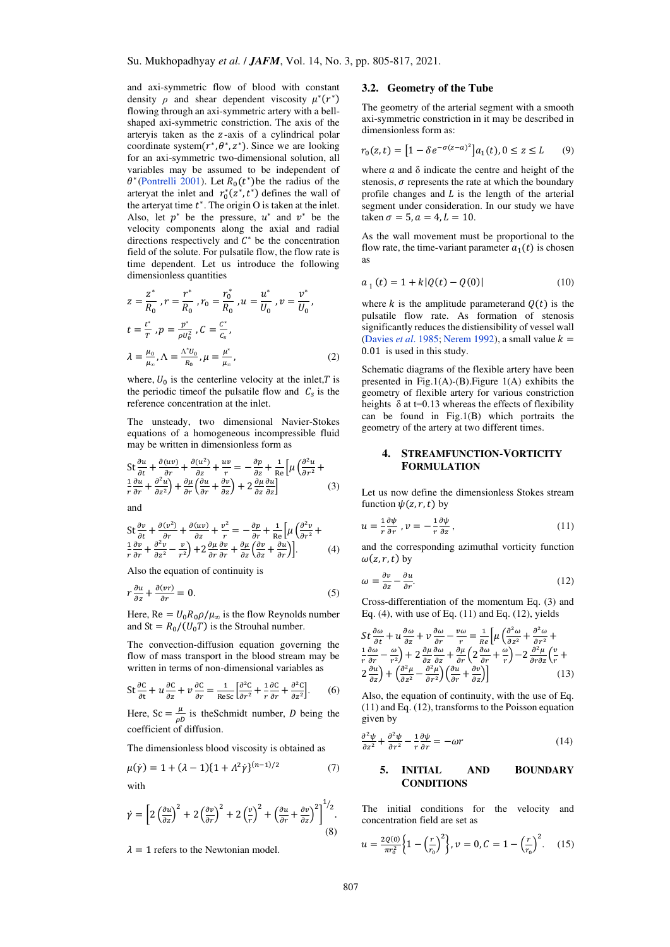and axi-symmetric flow of blood with constant density  $\rho$  and shear dependent viscosity  $\mu^*(r^*)$ flowing through an axi-symmetric artery with a bellshaped axi-symmetric constriction. The axis of the arteryis taken as the z-axis of a cylindrical polar coordinate system $(r^*, \theta^*, z^*)$ . Since we are looking for an axi-symmetric two-dimensional solution, all variables may be assumed to be independent of  $\theta^*$ [\(Pontrelli 2001\)](#page-12-2). Let  $R_0(t^*)$  be the radius of the arteryat the inlet and  $r_0^*(z^*, t^*)$  defines the wall of the artery at time  $t^*$ . The origin O is taken at the inlet. Also, let  $p^*$  be the pressure,  $u^*$  and  $v^*$  be the velocity components along the axial and radial directions respectively and  $C^*$  be the concentration field of the solute. For pulsatile flow, the flow rate is time dependent. Let us introduce the following dimensionless quantities

$$
z = \frac{z^*}{R_0}, r = \frac{r^*}{R_0}, r_0 = \frac{r_0^*}{R_0}, u = \frac{u^*}{U_0}, v = \frac{v^*}{U_0},
$$
  

$$
t = \frac{t^*}{T}, p = \frac{p^*}{\rho U_0^2}, C = \frac{c^*}{C_s},
$$
  

$$
\lambda = \frac{\mu_0}{\mu_x}, \Lambda = \frac{\Lambda^* U_0}{R_0}, \mu = \frac{\mu^*}{\mu_x},
$$
 (2)

where,  $U_0$  is the centerline velocity at the inlet, T is the periodic time of the pulsatile flow and  $C_s$  is the reference concentration at the inlet.

The unsteady, two dimensional Navier-Stokes equations of a homogeneous incompressible fluid may be written in dimensionless form as

$$
\begin{split} \operatorname{St} \frac{\partial u}{\partial t} + \frac{\partial (uv)}{\partial r} + \frac{\partial (u^{2})}{\partial z} + \frac{uv}{r} &= -\frac{\partial p}{\partial z} + \frac{1}{\operatorname{Re}} \left[ \mu \left( \frac{\partial^{2} u}{\partial r^{2}} + \frac{\partial u}{\partial r} + \frac{\partial^{2} u}{\partial z^{2}} \right) + \frac{\partial \mu}{\partial r} \left( \frac{\partial u}{\partial r} + \frac{\partial v}{\partial z} \right) + 2 \frac{\partial \mu}{\partial z} \frac{\partial u}{\partial z} \right] \end{split} \tag{3}
$$

and

$$
\begin{split} \n\text{St}\frac{\partial v}{\partial t} + \frac{\partial (v^2)}{\partial r} + \frac{\partial (uv)}{\partial z} + \frac{v^2}{r} &= -\frac{\partial p}{\partial r} + \frac{1}{\text{Re}} \left[ \mu \left( \frac{\partial^2 v}{\partial r^2} + \frac{\partial^2 v}{\partial r} + \frac{\partial^2 v}{\partial z^2} - \frac{v}{r^2} \right) + 2\frac{\partial \mu}{\partial r} \frac{\partial v}{\partial r} + \frac{\partial \mu}{\partial z} \left( \frac{\partial v}{\partial z} + \frac{\partial u}{\partial r} \right) \right]. \n\end{split} \tag{4}
$$

Also the equation of continuity is

$$
r\frac{\partial u}{\partial z} + \frac{\partial (vr)}{\partial r} = 0.
$$
 (5)

Here, Re =  $U_0R_0\rho/\mu_\infty$  is the flow Reynolds number and  $St = R_0/(U_0 T)$  is the Strouhal number.

The convection-diffusion equation governing the flow of mass transport in the blood stream may be written in terms of non-dimensional variables as

St 
$$
\frac{\partial C}{\partial t} + u \frac{\partial C}{\partial z} + v \frac{\partial C}{\partial r} = \frac{1}{\text{Res}} \left[ \frac{\partial^2 C}{\partial r^2} + \frac{1}{r} \frac{\partial C}{\partial r} + \frac{\partial^2 C}{\partial z^2} \right].
$$
 (6)

Here,  $Sc = \frac{\mu}{\rho l}$  $\frac{\mu}{\rho D}$  is theSchmidt number, *D* being the coefficient of diffusion.

The dimensionless blood viscosity is obtained as

$$
\mu(\dot{\gamma}) = 1 + (\lambda - 1)\{1 + \lambda^2 \dot{\gamma}\}^{(n-1)/2}
$$
 (7)  
with

 $\dot{\gamma} = \left[2\left(\frac{\partial u}{\partial z}\right)^2 + 2\left(\frac{\partial v}{\partial r}\right)^2 + 2\left(\frac{v}{r}\right)\right]$  $\left(\frac{v}{r}\right)^2 + \left(\frac{\partial u}{\partial r} + \frac{\partial v}{\partial z}\right)^2$  $\frac{1}{2}$ . (8)

 $\lambda = 1$  refers to the Newtonian model.

#### **3.2. Geometry of the Tube**

The geometry of the arterial segment with a smooth axi-symmetric constriction in it may be described in dimensionless form as:

$$
r_0(z,t) = [1 - \delta e^{-\sigma(z-a)^2}] a_1(t), 0 \le z \le L \qquad (9)
$$

where  $\alpha$  and  $\delta$  indicate the centre and height of the stenosis,  $\sigma$  represents the rate at which the boundary profile changes and  $L$  is the length of the arterial segment under consideration. In our study we have taken  $\sigma = 5$ ,  $a = 4$ ,  $L = 10$ .

As the wall movement must be proportional to the flow rate, the time-variant parameter  $a_1(t)$  is chosen as

$$
a_1(t) = 1 + k|Q(t) - Q(0)| \tag{10}
$$

where  $k$  is the amplitude parameterand  $Q(t)$  is the pulsatile flow rate. As formation of stenosis significantly reduces the distiensibility of vessel wall [\(Davies](#page-11-14) *et al.* 1985[; Nerem 1992\)](#page-12-9), a small value  $k =$ 0.01 is used in this study.

Schematic diagrams of the flexible artery have been presented in Fig.1(A)-(B). Figure  $1(A)$  exhibits the geometry of flexible artery for various constriction heights  $\delta$  at t=0.13 whereas the effects of flexibility can be found in Fig.1(B) which portraits the geometry of the artery at two different times.

# **4. STREAMFUNCTION-VORTICITY FORMULATION**

Let us now define the dimensionless Stokes stream function  $\psi(z, r, t)$  by

$$
u = \frac{1}{r} \frac{\partial \psi}{\partial r}, \quad v = -\frac{1}{r} \frac{\partial \psi}{\partial z}, \tag{11}
$$

and the corresponding azimuthal vorticity function  $\omega(z, r, t)$  by

$$
\omega = \frac{\partial v}{\partial z} - \frac{\partial u}{\partial r}.\tag{12}
$$

Cross-differentiation of the momentum Eq. (3) and Eq.  $(4)$ , with use of Eq.  $(11)$  and Eq.  $(12)$ , yields

$$
St \frac{\partial \omega}{\partial t} + u \frac{\partial \omega}{\partial z} + v \frac{\partial \omega}{\partial r} - \frac{v \omega}{r} = \frac{1}{Re} \left[ \mu \left( \frac{\partial^2 \omega}{\partial z^2} + \frac{\partial^2 \omega}{\partial r^2} + \frac{\partial^2 \omega}{\partial r^2} \right) + 2 \frac{\partial \mu}{\partial z} \frac{\partial \omega}{\partial z} + \frac{\partial \mu}{\partial r} \left( 2 \frac{\partial \omega}{\partial r} + \frac{\omega}{r} \right) - 2 \frac{\partial^2 \mu}{\partial r \partial z} \left( \frac{v}{r} + \frac{\partial^2 \mu}{\partial z^2} \right) + \left( \frac{\partial^2 \mu}{\partial z^2} - \frac{\partial^2 \mu}{\partial r^2} \right) \left( \frac{\partial u}{\partial r} + \frac{\partial v}{\partial z} \right) \right]
$$
(13)

Also, the equation of continuity, with the use of Eq. (11) and Eq. (12), transforms to the Poisson equation given by

$$
\frac{\partial^2 \psi}{\partial z^2} + \frac{\partial^2 \psi}{\partial r^2} - \frac{1}{r} \frac{\partial \psi}{\partial r} = -\omega r \tag{14}
$$

#### **5. INITIAL AND BOUNDARY CONDITIONS**

The initial conditions for the velocity and concentration field are set as

$$
u = \frac{2Q(0)}{\pi r_0^2} \left\{ 1 - \left(\frac{r}{r_0}\right)^2 \right\}, v = 0, C = 1 - \left(\frac{r}{r_0}\right)^2. \tag{15}
$$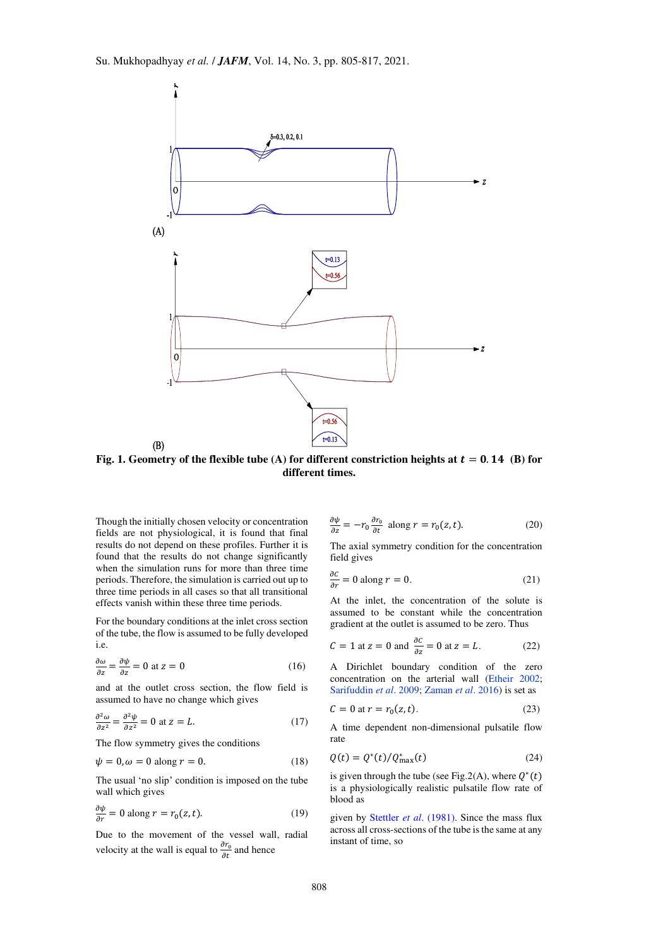

Fig. 1. Geometry of the flexible tube (A) for different constriction heights at  $t = 0.14$  (B) for **different times.** 

Though the initially chosen velocity or concentration fields are not physiological, it is found that final results do not depend on these profiles. Further it is found that the results do not change significantly when the simulation runs for more than three time periods. Therefore, the simulation is carried out up to three time periods in all cases so that all transitional effects vanish within these three time periods.

For the boundary conditions at the inlet cross section of the tube, the flow is assumed to be fully developed i.e.

$$
\frac{\partial \omega}{\partial z} = \frac{\partial \psi}{\partial z} = 0 \text{ at } z = 0 \tag{16}
$$

and at the outlet cross section, the flow field is assumed to have no change which gives

$$
\frac{\partial^2 \omega}{\partial z^2} = \frac{\partial^2 \psi}{\partial z^2} = 0 \text{ at } z = L.
$$
 (17)

The flow symmetry gives the conditions

$$
\psi = 0, \omega = 0 \text{ along } r = 0. \tag{18}
$$

The usual 'no slip' condition is imposed on the tube wall which gives

$$
\frac{\partial \psi}{\partial r} = 0 \text{ along } r = r_0(z, t). \tag{19}
$$

Due to the movement of the vessel wall, radial velocity at the wall is equal to  $\frac{\partial r_0}{\partial t}$  and hence

$$
\frac{\partial \psi}{\partial z} = -r_0 \frac{\partial r_0}{\partial t} \text{ along } r = r_0(z, t). \tag{20}
$$

The axial symmetry condition for the concentration field gives

$$
\frac{\partial c}{\partial r} = 0 \text{ along } r = 0. \tag{21}
$$

At the inlet, the concentration of the solute is assumed to be constant while the concentration gradient at the outlet is assumed to be zero. Thus

$$
C = 1 \text{ at } z = 0 \text{ and } \frac{\partial c}{\partial z} = 0 \text{ at } z = L. \tag{22}
$$

A Dirichlet boundary condition of the zero concentration on the arterial wall [\(Etheir 2002;](#page-11-15) Sarifuddin *et al*. 2009[; Zaman](#page-12-6) *et al*. 2016) is set as

$$
C = 0 \text{ at } r = r_0(z, t). \tag{23}
$$

A time dependent non-dimensional pulsatile flow rate

$$
Q(t) = Q^*(t) / Q^*_{\text{max}}(t) \tag{24}
$$

is given through the tube (see Fig.2(A), where  $Q^*(t)$ is a physiologically realistic pulsatile flow rate of blood as

given by Stettler *et al*[. \(1981\).](#page-12-10) Since the mass flux across all cross-sections of the tube is the same at any instant of time, so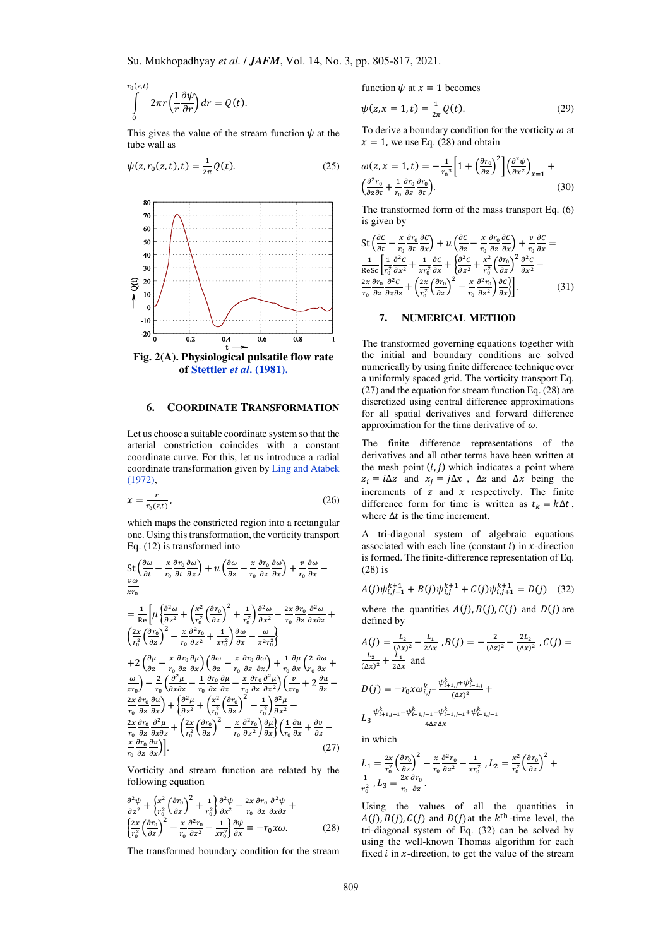$$
\int_{0}^{r_0(z,t)} 2\pi r \left(\frac{1}{r}\frac{\partial \psi}{\partial r}\right) dr = Q(t).
$$

This gives the value of the stream function  $\psi$  at the tube wall as

$$
\psi(z, r_0(z, t), t) = \frac{1}{2\pi} Q(t).
$$
\n(25)



# **of [Stettler](#page-12-10)** *et al***. (1981).**

#### **6. COORDINATE TRANSFORMATION**

Let us choose a suitable coordinate system so that the arterial constriction coincides with a constant coordinate curve. For this, let us introduce a radial coordinate transformation given b[y Ling and Atabek](#page-11-16)  [\(1972\),](#page-11-16)

$$
x = \frac{r}{r_0(zt)},\tag{26}
$$

which maps the constricted region into a rectangular one. Using this transformation, the vorticity transport Eq. (12) is transformed into

$$
\begin{split}\n&\frac{\partial \omega}{\partial t} - \frac{x}{r_0} \frac{\partial r_0}{\partial t} \frac{\partial \omega}{\partial x} + u \left( \frac{\partial \omega}{\partial z} - \frac{x}{r_0} \frac{\partial r_0}{\partial z} \frac{\partial \omega}{\partial x} \right) + \frac{v}{r_0} \frac{\partial \omega}{\partial x} - \\
&= \frac{1}{\text{Re}} \left[ \mu \left( \frac{\partial^2 \omega}{\partial z^2} + \left( \frac{x^2}{r_0^2} \left( \frac{\partial r_0}{\partial z} \right)^2 + \frac{1}{r_0^2} \right) \frac{\partial^2 \omega}{\partial x^2} - \frac{2x}{r_0} \frac{\partial r_0}{\partial z} \frac{\partial^2 \omega}{\partial x \partial z} + \left( \frac{2x}{r_0^2} \left( \frac{\partial r_0}{\partial z} \right)^2 - \frac{x}{r_0} \frac{\partial^2 r_0}{\partial z^2} + \frac{1}{x r_0^2} \right) \frac{\partial \omega}{\partial x} - \frac{\omega}{x^2 r_0^2} \right] \\
&+ 2 \left( \frac{\partial \mu}{\partial z} - \frac{x}{r_0} \frac{\partial r_0}{\partial z} \frac{\partial \mu}{\partial x} \right) \left( \frac{\partial \omega}{\partial z} - \frac{x}{r_0} \frac{\partial r_0}{\partial z} \frac{\partial \omega}{\partial x} \right) + \frac{1}{r_0} \frac{\partial \mu}{\partial x} \left( \frac{2}{r_0} \frac{\partial \omega}{\partial x} + \frac{\omega}{x r_0} \right) - \frac{2}{r_0} \left( \frac{\partial^2 \mu}{\partial x \partial z} - \frac{1}{r_0} \frac{\partial r_0}{\partial z} \frac{\partial \mu}{\partial x} - \frac{x}{r_0} \frac{\partial r_0}{\partial z} \frac{\partial^2 \mu}{\partial x^2} \right) \left( \frac{v}{x} + 2 \frac{\partial u}{\partial z} - \frac{2x}{r_0} \frac{\partial r_0}{\partial z} \frac{\partial^2 \mu}{\partial x} \right) + \left\{ \frac{\partial^2 \mu}{\partial z^2} + \left( \frac{x^2}{r_0^2} \left( \frac{\partial r_0}{\partial z} \right)^2 - \frac{x}{r_0} \frac
$$

Vorticity and stream function are related by the following equation

$$
\frac{\partial^2 \psi}{\partial z^2} + \left\{ \frac{x^2}{r_0^2} \left( \frac{\partial r_0}{\partial z} \right)^2 + \frac{1}{r_0^2} \right\} \frac{\partial^2 \psi}{\partial x^2} - \frac{2x}{r_0} \frac{\partial r_0}{\partial z} \frac{\partial^2 \psi}{\partial x \partial z} + \left\{ \frac{2x}{r_0^2} \left( \frac{\partial r_0}{\partial z} \right)^2 - \frac{x}{r_0} \frac{\partial^2 r_0}{\partial z^2} - \frac{1}{x r_0^2} \right\} \frac{\partial \psi}{\partial x} = -r_0 x \omega.
$$
 (28)

The transformed boundary condition for the stream

function  $\psi$  at  $x = 1$  becomes

$$
\psi(z, x = 1, t) = \frac{1}{2\pi} Q(t).
$$
 (29)

To derive a boundary condition for the vorticity  $\omega$  at  $x = 1$ , we use Eq. (28) and obtain

$$
\omega(z, x = 1, t) = -\frac{1}{r_0^3} \left[ 1 + \left( \frac{\partial r_0}{\partial z} \right)^2 \right] \left( \frac{\partial^2 \psi}{\partial x^2} \right)_{x=1} +
$$
  

$$
\left( \frac{\partial^2 r_0}{\partial z \partial t} + \frac{1}{r_0} \frac{\partial r_0}{\partial z} \frac{\partial r_0}{\partial t} \right).
$$
 (30)

The transformed form of the mass transport Eq. (6) is given by

$$
\begin{split} \operatorname{St}\left(\frac{\partial c}{\partial t} - \frac{x}{r_0} \frac{\partial r_0}{\partial t} \frac{\partial c}{\partial x}\right) + u\left(\frac{\partial c}{\partial z} - \frac{x}{r_0} \frac{\partial r_0}{\partial z} \frac{\partial c}{\partial x}\right) + \frac{v}{r_0} \frac{\partial c}{\partial x} = \\ \frac{1}{\operatorname{Res}}\left[\frac{1}{r_0^2} \frac{\partial^2 c}{\partial x^2} + \frac{1}{x r_0^2} \frac{\partial c}{\partial x} + \left\{\frac{\partial^2 c}{\partial z^2} + \frac{x^2}{r_0^2} \left(\frac{\partial r_0}{\partial z}\right)^2 \frac{\partial^2 c}{\partial x^2} - \frac{2x}{r_0} \frac{\partial r_0}{\partial z^2} \frac{\partial^2 c}{\partial x \partial z} + \left(\frac{2x}{r_0^2} \left(\frac{\partial r_0}{\partial z}\right)^2 - \frac{x}{r_0} \frac{\partial^2 r_0}{\partial z^2} \right) \frac{\partial c}{\partial x}\right]. \end{split} \tag{31}
$$

# **7. NUMERICAL METHOD**

The transformed governing equations together with the initial and boundary conditions are solved numerically by using finite difference technique over a uniformly spaced grid. The vorticity transport Eq. (27) and the equation for stream function Eq. (28) are discretized using central difference approximations for all spatial derivatives and forward difference approximation for the time derivative of  $\omega$ .

The finite difference representations of the derivatives and all other terms have been written at the mesh point  $(i, j)$  which indicates a point where  $z_i = i\Delta z$  and  $x_i = j\Delta x$ ,  $\Delta z$  and  $\Delta x$  being the increments of  $z$  and  $x$  respectively. The finite difference form for time is written as  $t_k = k\Delta t$ , where  $\Delta t$  is the time increment.

A tri-diagonal system of algebraic equations associated with each line (constant  $i$ ) in  $x$ -direction is formed. The finite-difference representation of Eq. (28) is

$$
A(j)\psi_{i,j-1}^{k+1} + B(j)\psi_{i,j}^{k+1} + C(j)\psi_{i,j+1}^{k+1} = D(j) \quad (32)
$$

where the quantities  $A(j)$ ,  $B(j)$ ,  $C(j)$  and  $D(j)$  are defined by

$$
A(j) = \frac{L_2}{(\Delta x)^2} - \frac{L_1}{2\Delta x}, B(j) = -\frac{2}{(\Delta z)^2} - \frac{2L_2}{(\Delta x)^2}, C(j) = \frac{L_2}{(\Delta x)^2} + \frac{L_1}{2\Delta x} \text{ and}
$$
  
\n
$$
D(j) = -r_0 \alpha \omega_{i,j}^k - \frac{\psi_{i+1,j}^k + \psi_{i-1,j}^k}{(\Delta z)^2} + \frac{L_3}{\omega_{i+1,j+1}^k + \psi_{i+1,j-1}^k} + \frac{L_3}{\omega_{i+1,j+1}^k + \psi_{i-1,j-1}^k}
$$

in which

$$
L_1 = \frac{2x}{r_0^2} \left(\frac{\partial r_0}{\partial z}\right)^2 - \frac{x}{r_0} \frac{\partial^2 r_0}{\partial z^2} - \frac{1}{x r_0^2} , L_2 = \frac{x^2}{r_0^2} \left(\frac{\partial r_0}{\partial z}\right)^2 + \frac{1}{r_0^2} , L_3 = \frac{2x}{r_0} \frac{\partial r_0}{\partial z} .
$$

Using the values of all the quantities in  $A(j), B(j), C(j)$  and  $D(j)$  at the  $k^{\text{th}}$ -time level, the tri-diagonal system of Eq. (32) can be solved by using the well-known Thomas algorithm for each fixed  $i$  in  $x$ -direction, to get the value of the stream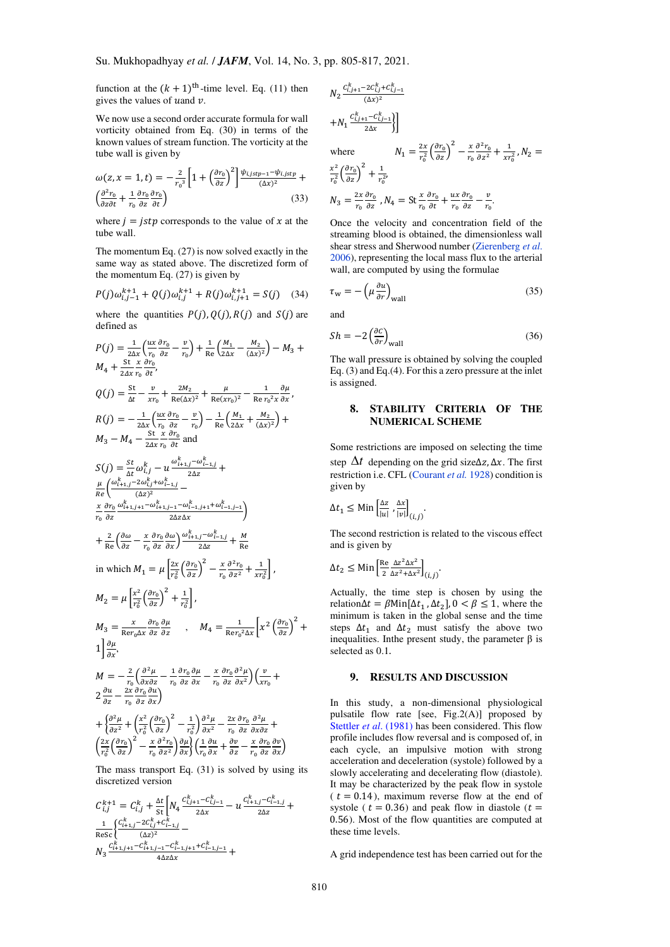function at the  $(k + 1)$ <sup>th</sup>-time level. Eq. (11) then gives the values of u and  $\nu$ .

We now use a second order accurate formula for wall vorticity obtained from Eq. (30) in terms of the known values of stream function. The vorticity at the tube wall is given by

$$
\omega(z, x = 1, t) = -\frac{2}{r_0^3} \left[ 1 + \left( \frac{\partial r_0}{\partial z} \right)^2 \right] \frac{\psi_{i,jstp - 1} - \psi_{i,jstp}}{(\Delta x)^2} + \left( \frac{\partial^2 r_0}{\partial z \partial t} + \frac{1}{r_0} \frac{\partial r_0}{\partial z} \frac{\partial r_0}{\partial t} \right)
$$
(33)

where  $i = \text{istp}$  corresponds to the value of x at the tube wall.

The momentum Eq. (27) is now solved exactly in the same way as stated above. The discretized form of the momentum Eq. (27) is given by

$$
P(j)\omega_{i,j-1}^{k+1} + Q(j)\omega_{i,j}^{k+1} + R(j)\omega_{i,j+1}^{k+1} = S(j) \quad (34)
$$

where the quantities  $P(j)$ ,  $Q(j)$ ,  $R(j)$  and  $S(j)$  are defined as

$$
P(j) = \frac{1}{2\Delta x} \left( \frac{ux}{r_0} \frac{\partial r_0}{\partial z} - \frac{v}{r_0} \right) + \frac{1}{Re} \left( \frac{M_1}{2\Delta x} - \frac{M_2}{(\Delta x)^2} \right) - M_3 + M_4 + \frac{St}{24x} \frac{x}{r_0} \frac{\partial r_0}{\partial t},
$$
  
\n
$$
Q(j) = \frac{St}{\Delta t} - \frac{v}{xr_0} + \frac{2M_2}{Re(\Delta x)^2} + \frac{\mu}{Re(xr_0)^2} - \frac{1}{Re r_0^2 x} \frac{\partial \mu}{\partial x},
$$
  
\n
$$
R(j) = -\frac{1}{2\Delta x} \left( \frac{ux}{r_0} \frac{\partial r_0}{\partial z} - \frac{v}{r_0} \right) - \frac{1}{Re} \left( \frac{M_1}{2\Delta x} + \frac{M_2}{(\Delta x)^2} \right) +
$$
  
\n
$$
M_3 - M_4 - \frac{St}{2\Delta x} \frac{x}{r_0} \frac{\partial r_0}{\partial t} \text{ and}
$$
  
\n
$$
S(j) = \frac{St}{\Delta t} \omega_{i,j}^k - u \frac{\omega_{i+1,j}^k - \omega_{i-1,j}^k}{2\Delta z} +
$$
  
\n
$$
\frac{\mu}{Re} \left( \frac{\omega_{i+1,j}^k - 2\omega_{i,j}^k + \omega_{i-1,j}^k}{(\Delta z)^2} - \frac{x}{\Delta z \Delta x} \frac{\partial r_0}{2\Delta z} \frac{\omega_{i+1,j} - \omega_{i-1,j+1}^k + \omega_{i-1,j-1}^k}{2\Delta z} \right)
$$
  
\n
$$
+ \frac{2}{Re} \left( \frac{\partial \omega}{\partial z} - \frac{x}{r_0} \frac{\partial r_0}{\partial z} \frac{\partial \omega}{\partial x} \right) \frac{\omega_{i+1,j}^k - \omega_{i-1,j}^k}{2\Delta z} + \frac{M}{Re}
$$
  
\nin which  $M_1 = \mu \left[ \frac{2x}{r_0^2} \left( \frac{\partial r_0}{\partial z} \right)^2 - \frac{x}{r_0} \frac{\partial^2 r_0}{\partial z^2} + \frac{1}{$ 

The mass transport Eq. (31) is solved by using its discretized version

$$
C_{i,j}^{k+1} = C_{i,j}^k + \frac{\Delta t}{\text{st}} \left[ N_4 \frac{C_{i,j+1}^k - C_{i,j-1}^k}{2\Delta x} - u \frac{C_{i+1,j}^k - C_{i-1,j}^k}{2\Delta z} + \frac{1}{\text{Resc}} \left\{ \frac{C_{i+1,j}^k - 2C_{i,j}^k + C_{i-1,j}^k}{(\Delta z)^2} - N_3 \frac{C_{i+1,j+1}^k - C_{i+1,j-1}^k - C_{i-1,j+1}^k + C_{i-1,j-1}^k}{4\Delta z \Delta x} + \frac{4\Delta z \Delta x}{\Delta z \Delta z} \right\}
$$

$$
N_2 \frac{c_{i,j+1}^k - 2c_{i,j}^k + c_{i,j-1}^k}{(\Delta x)^2} + N_1 \frac{c_{i,j+1}^k - c_{i,j-1}^k}{2\Delta x} \bigg\}
$$

 $r_0$ 

where  $N_1 = \frac{2x}{r_0^2}$  $rac{2x}{r_0^2} \left(\frac{\partial r_0}{\partial z}\right)^2 - \frac{x}{r_0}$  $r_{0}$  $\frac{\partial^2 r_0}{\partial z^2} + \frac{1}{xr}$  $\frac{1}{xr_0^2}$ ,  $N_2 =$  $\frac{x^2}{x^2}$  $\frac{x^2}{r_0^2} \left(\frac{\partial r_0}{\partial z}\right)^2 + \frac{1}{r_0^2}$  $\frac{1}{r_0^{2}}$  $N_3 = \frac{2x}{r_0}$  $\frac{\partial r_0}{\partial z}$  ,  $N_4 = \text{St} \frac{x}{r_0}$  $\frac{\partial r_0}{\partial t} + \frac{ux}{r_0}$  $\frac{\partial r_0}{\partial z} - \frac{v}{r_0}$  $\frac{v}{r_0}$ .

Once the velocity and concentration field of the streaming blood is obtained, the dimensionless wall shear stress and Sherwood number [\(Zierenberg](#page-12-11) *et al*. [2006\)](#page-12-11), representing the local mass flux to the arterial wall, are computed by using the formulae

 $r_0$ 

$$
\tau_{\rm w} = -\left(\mu \frac{\partial u}{\partial r}\right)_{\rm wall} \tag{35}
$$

and

$$
Sh = -2\left(\frac{\partial c}{\partial r}\right)_{\text{wall}}\tag{36}
$$

The wall pressure is obtained by solving the coupled Eq. (3) and Eq.(4). For this a zero pressure at the inlet is assigned.

# **8. STABILITY CRITERIA OF THE NUMERICAL SCHEME**

Some restrictions are imposed on selecting the time step  $\Delta t$  depending on the grid size $\Delta z$ ,  $\Delta x$ . The first restriction i.e. CFL (Courant *et al.* 1928) condition is given by

$$
\Delta t_1 \leq \text{Min}\left[\frac{\Delta z}{|u|}, \frac{\Delta x}{|v|}\right]_{(i,j)}.
$$

The second restriction is related to the viscous effect and is given by

$$
\Delta t_2 \le \text{Min}\left[\frac{\text{Re }\Delta z^2 \Delta x^2}{2 \Delta z^2 + \Delta x^2}\right]_{(i,j)}.
$$

Actually, the time step is chosen by using the relation $\Delta t = \beta \text{Min}[\Delta t_1, \Delta t_2]$ ,  $0 < \beta \le 1$ , where the minimum is taken in the global sense and the time steps  $\Delta t_1$  and  $\Delta t_2$  must satisfy the above two inequalities. Inthe present study, the parameter β is selected as 0.1.

# **9. RESULTS AND DISCUSSION**

In this study, a non-dimensional physiological pulsatile flow rate [see, Fig.2(A)] proposed by Stettler *et al*[. \(1981\)](#page-12-10) has been considered. This flow profile includes flow reversal and is composed of, in each cycle, an impulsive motion with strong acceleration and deceleration (systole) followed by a slowly accelerating and decelerating flow (diastole). It may be characterized by the peak flow in systole  $(t = 0.14)$ , maximum reverse flow at the end of systole ( $t = 0.36$ ) and peak flow in diastole ( $t =$ 0.56). Most of the flow quantities are computed at these time levels.

A grid independence test has been carried out for the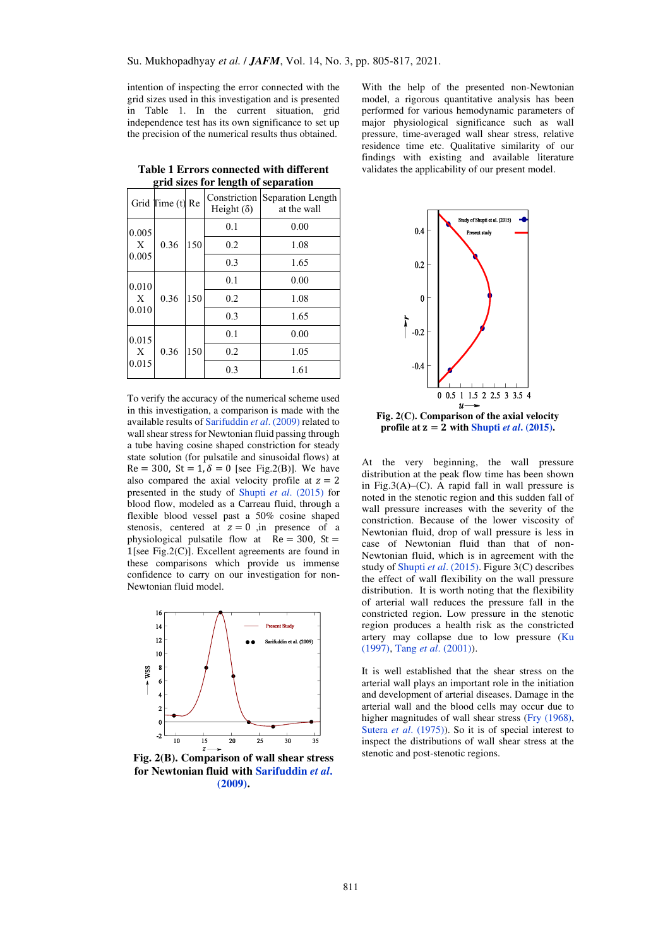intention of inspecting the error connected with the grid sizes used in this investigation and is presented in Table 1. In the current situation, grid independence test has its own significance to set up the precision of the numerical results thus obtained.

| ,<br>-,,<br>$    -$ |               |     |                                   |                                  |
|---------------------|---------------|-----|-----------------------------------|----------------------------------|
|                     | Grid Time (t) | Re  | Constriction<br>Height $(\delta)$ | Separation Length<br>at the wall |
| 0.005<br>X<br>0.005 | 0.36          | 150 | 0.1                               | 0.00                             |
|                     |               |     | 0.2                               | 1.08                             |
|                     |               |     | 0.3                               | 1.65                             |
| 0.010<br>X<br>0.010 | 0.36          | 150 | 0.1                               | 0.00                             |
|                     |               |     | 0.2                               | 1.08                             |
|                     |               |     | 0.3                               | 1.65                             |
| 0.015<br>X<br>0.015 | 0.36          | 150 | 0.1                               | 0.00                             |
|                     |               |     | 0.2                               | 1.05                             |
|                     |               |     | 0.3                               | 1.61                             |
|                     |               |     |                                   |                                  |

**Table 1 Errors connected with different grid sizes for length of separation** 

To verify the accuracy of the numerical scheme used in this investigation, a comparison is made with the available results of Sarifuddin *et al*. (2009) related to wall shear stress for Newtonian fluid passing through a tube having cosine shaped constriction for steady state solution (for pulsatile and sinusoidal flows) at  $Re = 300$ ,  $St = 1, \delta = 0$  [see Fig.2(B)]. We have also compared the axial velocity profile at  $z = 2$ presented in the study of Shupti *et al*[. \(2015\)](#page-12-12) for blood flow, modeled as a Carreau fluid, through a flexible blood vessel past a 50% cosine shaped stenosis, centered at  $z = 0$  in presence of a physiological pulsatile flow at  $Re = 300$ , St = 1[see Fig.2(C)]. Excellent agreements are found in these comparisons which provide us immense confidence to carry on our investigation for non-Newtonian fluid model.



**Fig. 2(B). Comparison of wall shear stress for Newtonian fluid with Sarifuddin** *et al***. (2009).** 

With the help of the presented non-Newtonian model, a rigorous quantitative analysis has been performed for various hemodynamic parameters of major physiological significance such as wall pressure, time-averaged wall shear stress, relative residence time etc. Qualitative similarity of our findings with existing and available literature validates the applicability of our present model.



**Fig. 2(C). Comparison of the axial velocity profile at**  $z = 2$  **with Shupti** *et al.* **(2015).** 

At the very beginning, the wall pressure distribution at the peak flow time has been shown in Fig.3(A)–(C). A rapid fall in wall pressure is noted in the stenotic region and this sudden fall of wall pressure increases with the severity of the constriction. Because of the lower viscosity of Newtonian fluid, drop of wall pressure is less in case of Newtonian fluid than that of non-Newtonian fluid, which is in agreement with the study of Shupti *et al*[. \(2015\).](#page-12-12) Figure 3(C) describes the effect of wall flexibility on the wall pressure distribution. It is worth noting that the flexibility of arterial wall reduces the pressure fall in the constricted region. Low pressure in the stenotic region produces a health risk as the constricted artery may collapse due to low pressure [\(Ku](#page-11-7)  [\(1997\),](#page-11-7) Tang *et al*[. \(2001\)\)](#page-12-13).

It is well established that the shear stress on the arterial wall plays an important role in the initiation and development of arterial diseases. Damage in the arterial wall and the blood cells may occur due to higher magnitudes of wall shear stress [\(Fry \(1968\),](#page-11-17) Sutera *et al*[. \(1975\)\)](#page-12-14). So it is of special interest to inspect the distributions of wall shear stress at the stenotic and post-stenotic regions.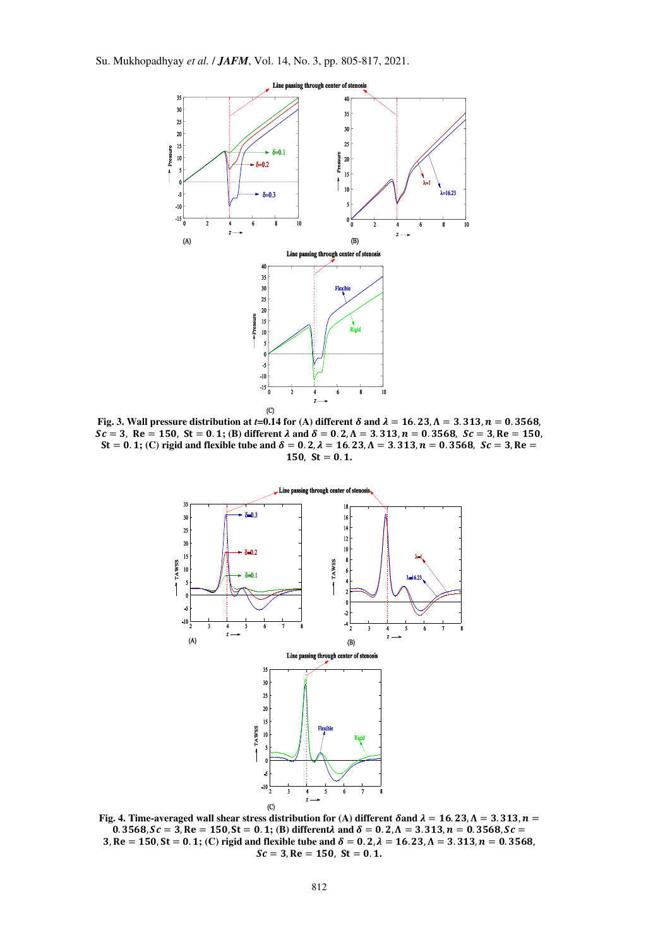

Fig. 3. Wall pressure distribution at *t*=0.14 for (A) different  $\delta$  and  $\lambda = 16.23$ ,  $\Lambda = 3.313$ ,  $n = 0.3568$ ,  $Sc = 3$ ,  $Re = 150$ ,  $St = 0.1$ ; (B) different  $\lambda$  and  $\delta = 0.2$ ,  $\Lambda = 3.313$ ,  $n = 0.3568$ ,  $Sc = 3$ ,  $Re = 150$ ,  $St = 0.1$ ; (C) rigid and flexible tube and  $\delta = 0.2$ ,  $\lambda = 16.23$ ,  $\Lambda = 3.313$ ,  $n = 0.3568$ ,  $Sc = 3$ , Re  $150$ ,  $St = 0.1$ .



Fig. 4. Time-averaged wall shear stress distribution for (A) different  $\delta$  and  $\lambda = 16.23$ ,  $\Lambda = 3.313$ ,  $n =$ 0. 3568,  $Sc = 3$ ,  $Re = 150$ ,  $St = 0.1$ ; (B) different $\lambda$  and  $\delta = 0.2$ ,  $\Lambda = 3.313$ ,  $n = 0.3568$ ,  $Sc =$ 3, Re = 150, St = 0. 1; (C) rigid and flexible tube and  $\delta = 0.2$ ,  $\lambda = 16.23$ ,  $\Lambda = 3.313$ ,  $n = 0.3568$ ,  $Sc = 3$ ,  $Re = 150$ ,  $St = 0.1$ .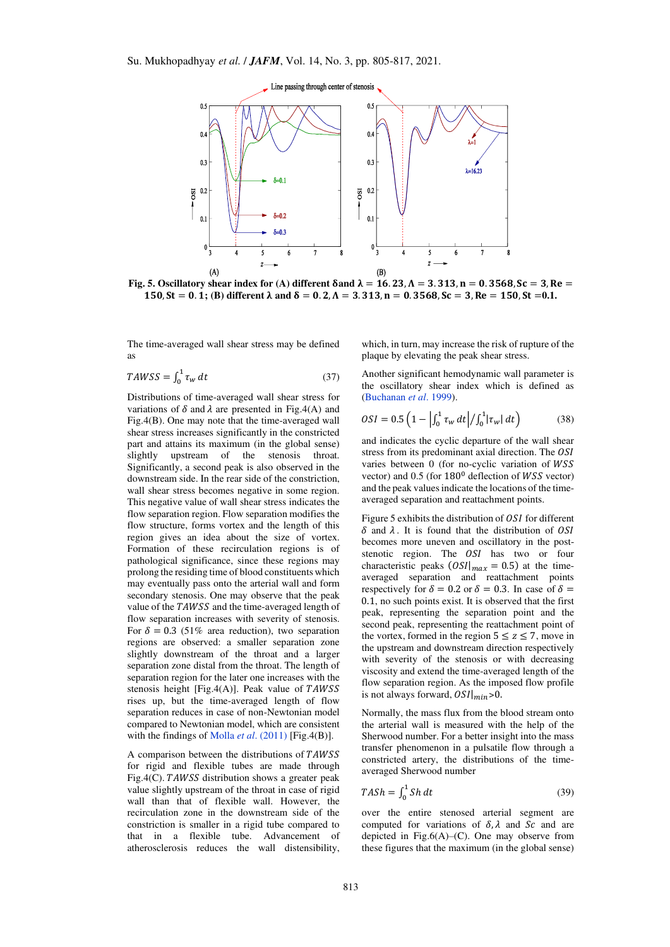

Fig. 5. Oscillatory shear index for (A) different  $\delta$  and  $\lambda = 16.23$ ,  $\Lambda = 3.313$ ,  $n = 0.3568$ ,  $Sc = 3$ ,  $Re =$  $150, St = 0.1$ ; (B) different  $\lambda$  and  $\delta = 0.2$ ,  $\Lambda = 3.313$ ,  $n = 0.3568$ ,  $Sc = 3$ ,  $Re = 150$ ,  $St = 0.1$ .

The time-averaged wall shear stress may be defined as

$$
TAWSS = \int_0^1 \tau_w dt \tag{37}
$$

Distributions of time-averaged wall shear stress for variations of  $\delta$  and  $\lambda$  are presented in Fig.4(A) and Fig.4(B). One may note that the time-averaged wall shear stress increases significantly in the constricted part and attains its maximum (in the global sense) slightly upstream of the stenosis throat. Significantly, a second peak is also observed in the downstream side. In the rear side of the constriction, wall shear stress becomes negative in some region. This negative value of wall shear stress indicates the flow separation region. Flow separation modifies the flow structure, forms vortex and the length of this region gives an idea about the size of vortex. Formation of these recirculation regions is of pathological significance, since these regions may prolong the residing time of blood constituents which may eventually pass onto the arterial wall and form secondary stenosis. One may observe that the peak value of the TAWSS and the time-averaged length of flow separation increases with severity of stenosis. For  $\delta = 0.3$  (51% area reduction), two separation regions are observed: a smaller separation zone slightly downstream of the throat and a larger separation zone distal from the throat. The length of separation region for the later one increases with the stenosis height [Fig.4(A)]. Peak value of  $TAWSS$ rises up, but the time-averaged length of flow separation reduces in case of non-Newtonian model compared to Newtonian model, which are consistent with the findings of Molla *et al*. (2011) [Fig.4(B)].

A comparison between the distributions of TAWSS for rigid and flexible tubes are made through Fig.4(C).  $TAWSS$  distribution shows a greater peak value slightly upstream of the throat in case of rigid wall than that of flexible wall. However, the recirculation zone in the downstream side of the constriction is smaller in a rigid tube compared to that in a flexible tube. Advancement of atherosclerosis reduces the wall distensibility,

which, in turn, may increase the risk of rupture of the plaque by elevating the peak shear stress.

Another significant hemodynamic wall parameter is the oscillatory shear index which is defined as [\(Buchanan](#page-11-18) *et al*. 1999).

$$
OSI = 0.5 \left( 1 - \left| \int_0^1 \tau_w \, dt \right| / \int_0^1 |\tau_w| \, dt \right) \tag{38}
$$

and indicates the cyclic departure of the wall shear stress from its predominant axial direction. The *OSI* varies between 0 (for no-cyclic variation of WSS vector) and  $0.5$  (for  $180^0$  deflection of *WSS* vector) and the peak values indicate the locations of the timeaveraged separation and reattachment points.

Figure 5 exhibits the distribution of  $OSI$  for different  $\delta$  and  $\lambda$ . It is found that the distribution of OSI becomes more uneven and oscillatory in the poststenotic region. The OSI has two or four characteristic peaks  $(OSI|_{max} = 0.5)$  at the timeaveraged separation and reattachment points respectively for  $\delta = 0.2$  or  $\delta = 0.3$ . In case of  $\delta =$ 0.1, no such points exist. It is observed that the first peak, representing the separation point and the second peak, representing the reattachment point of the vortex, formed in the region  $5 \le z \le 7$ , move in the upstream and downstream direction respectively with severity of the stenosis or with decreasing viscosity and extend the time-averaged length of the flow separation region. As the imposed flow profile is not always forward,  $OSI|_{min} > 0$ .

Normally, the mass flux from the blood stream onto the arterial wall is measured with the help of the Sherwood number. For a better insight into the mass transfer phenomenon in a pulsatile flow through a constricted artery, the distributions of the timeaveraged Sherwood number

$$
TASH = \int_0^1 Sh \, dt \tag{39}
$$

over the entire stenosed arterial segment are computed for variations of  $\delta$ ,  $\lambda$  and  $\delta c$  and are depicted in Fig.6(A)–(C). One may observe from these figures that the maximum (in the global sense)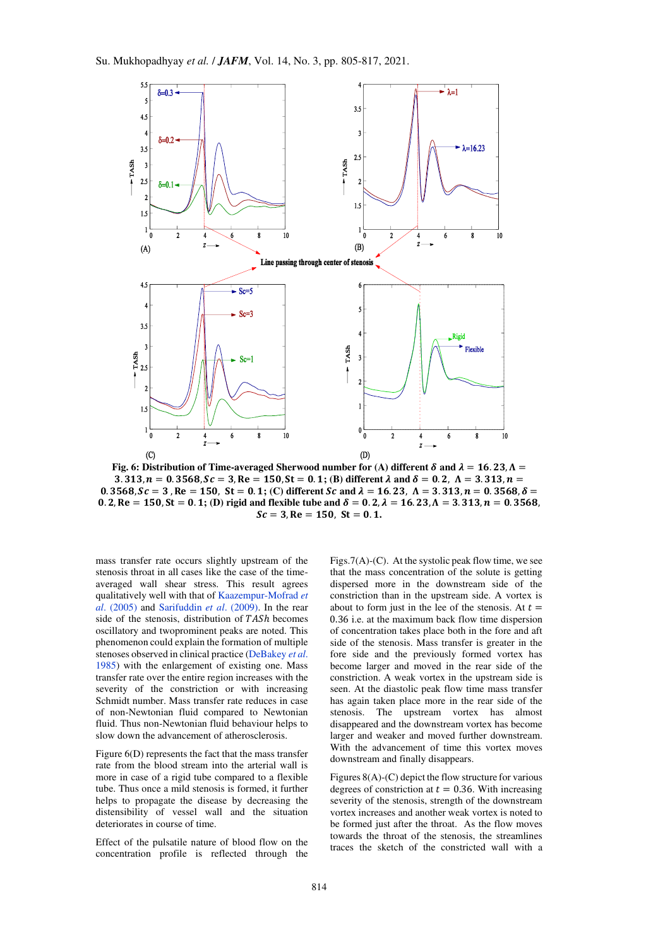

**Fig. 6: Distribution of Time-averaged Sherwood number for (A) different**  $\delta$  **and**  $\lambda = 16.23$ **,**  $\Lambda =$ 3. 313,  $n = 0.3568$ ,  $Sc = 3$ ,  $Re = 150$ ,  $St = 0.1$ ; (B) different  $\lambda$  and  $\delta = 0.2$ ,  $\Lambda = 3.313$ ,  $n =$ 0.  $3568$ ,  $Sc = 3$ ,  $Re = 150$ ,  $St = 0.1$ ; (C) different  $Sc$  and  $\lambda = 16.23$ ,  $\Lambda = 3.313$ ,  $n = 0.3568$ ,  $\delta =$ 0. 2, Re = 150, St = 0. 1; (D) rigid and flexible tube and  $\delta = 0.2$ ,  $\lambda = 16.23$ ,  $\Lambda = 3.313$ ,  $n = 0.3568$ ,  $Sc = 3$ ,  $Re = 150$ ,  $St = 0.1$ .

mass transfer rate occurs slightly upstream of the stenosis throat in all cases like the case of the timeaveraged wall shear stress. This result agrees qualitatively well with that o[f Kaazempur-Mofrad](#page-11-12) *et al*[. \(2005\)](#page-11-12) and Sarifuddin *et al*. (2009). In the rear side of the stenosis, distribution of  $TASh$  becomes oscillatory and twoprominent peaks are noted. This phenomenon could explain the formation of multiple stenoses observed in clinical practice [\(DeBakey](#page-11-19) *et al*. [1985\)](#page-11-19) with the enlargement of existing one. Mass transfer rate over the entire region increases with the severity of the constriction or with increasing Schmidt number. Mass transfer rate reduces in case of non-Newtonian fluid compared to Newtonian fluid. Thus non-Newtonian fluid behaviour helps to slow down the advancement of atherosclerosis.

Figure 6(D) represents the fact that the mass transfer rate from the blood stream into the arterial wall is more in case of a rigid tube compared to a flexible tube. Thus once a mild stenosis is formed, it further helps to propagate the disease by decreasing the distensibility of vessel wall and the situation deteriorates in course of time.

Effect of the pulsatile nature of blood flow on the concentration profile is reflected through the

Figs.7(A)-(C). At the systolic peak flow time, we see that the mass concentration of the solute is getting dispersed more in the downstream side of the constriction than in the upstream side. A vortex is about to form just in the lee of the stenosis. At  $t =$ 0.36 i.e. at the maximum back flow time dispersion of concentration takes place both in the fore and aft side of the stenosis. Mass transfer is greater in the fore side and the previously formed vortex has become larger and moved in the rear side of the constriction. A weak vortex in the upstream side is seen. At the diastolic peak flow time mass transfer has again taken place more in the rear side of the stenosis. The upstream vortex has almost disappeared and the downstream vortex has become larger and weaker and moved further downstream. With the advancement of time this vortex moves downstream and finally disappears.

Figures  $8(A)$ -(C) depict the flow structure for various degrees of constriction at  $t = 0.36$ . With increasing severity of the stenosis, strength of the downstream vortex increases and another weak vortex is noted to be formed just after the throat. As the flow moves towards the throat of the stenosis, the streamlines traces the sketch of the constricted wall with a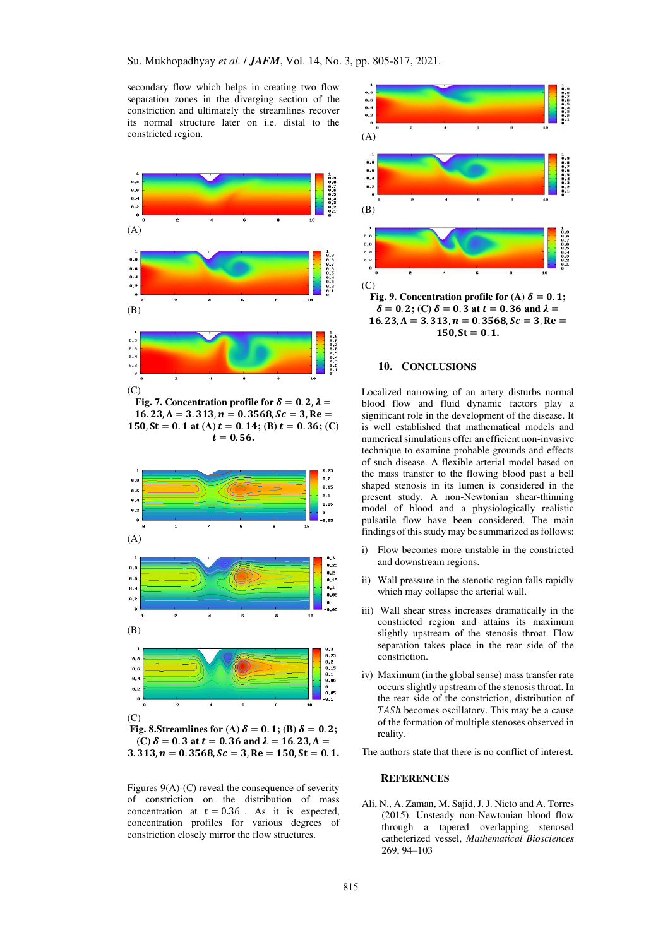secondary flow which helps in creating two flow separation zones in the diverging section of the constriction and ultimately the streamlines recover its normal structure later on i.e. distal to the constricted region.



Fig. 7. Concentration profile for  $\delta = 0.2$ ,  $\lambda =$  $16.23, \Lambda = 3.313, n = 0.3568, Sc = 3, Re =$  $150$ ,  $St = 0.1$  at (A)  $t = 0.14$ ; (B)  $t = 0.36$ ; (C)  $t = 0.56$ .



**(C)**  $\delta = 0.3$  at  $t = 0.36$  and  $\lambda = 16.23$ ,  $\Lambda =$  $3.313, n = 0.3568, Sc = 3, Re = 150, St = 0.1.$ 

Figures  $9(A)$ -(C) reveal the consequence of severity of constriction on the distribution of mass concentration at  $t = 0.36$ . As it is expected, concentration profiles for various degrees of constriction closely mirror the flow structures.



# **10. CONCLUSIONS**

Localized narrowing of an artery disturbs normal blood flow and fluid dynamic factors play a significant role in the development of the disease. It is well established that mathematical models and numerical simulations offer an efficient non-invasive technique to examine probable grounds and effects of such disease. A flexible arterial model based on the mass transfer to the flowing blood past a bell shaped stenosis in its lumen is considered in the present study. A non-Newtonian shear-thinning model of blood and a physiologically realistic pulsatile flow have been considered. The main findings of this study may be summarized as follows:

- i) Flow becomes more unstable in the constricted and downstream regions.
- ii) Wall pressure in the stenotic region falls rapidly which may collapse the arterial wall.
- iii) Wall shear stress increases dramatically in the constricted region and attains its maximum slightly upstream of the stenosis throat. Flow separation takes place in the rear side of the constriction.
- iv) Maximum (in the global sense) mass transfer rate occurs slightly upstream of the stenosis throat. In the rear side of the constriction, distribution of TASh becomes oscillatory. This may be a cause of the formation of multiple stenoses observed in reality.

The authors state that there is no conflict of interest.

#### **REFERENCES**

Ali, N., A. Zaman, M. Sajid, J. J. Nieto and A. Torres (2015). Unsteady non-Newtonian blood flow through a tapered overlapping stenosed catheterized vessel, *Mathematical Biosciences* 269, 94–103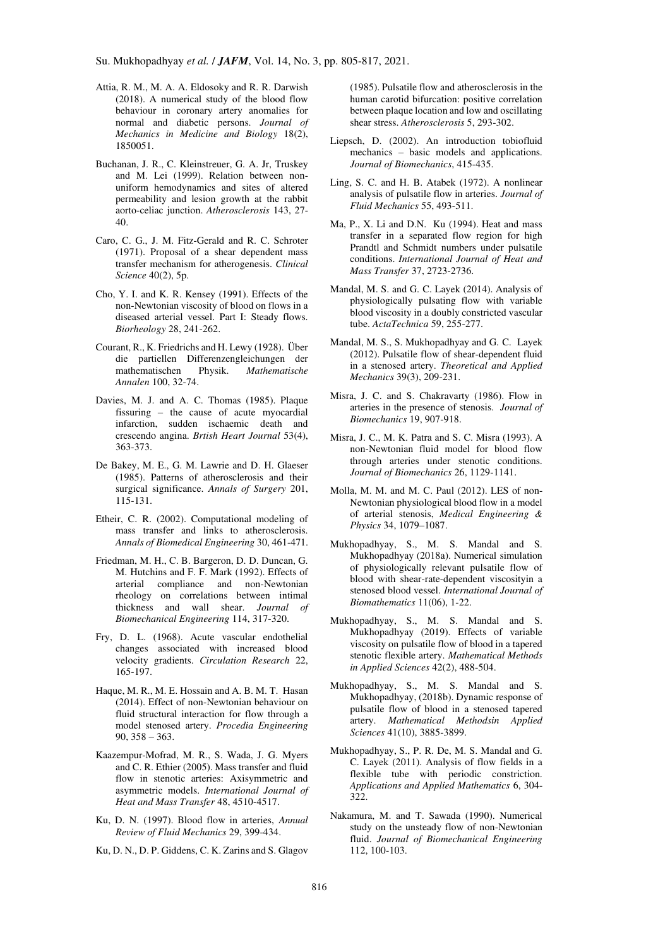- <span id="page-11-9"></span>Attia, R. M., M. A. A. Eldosoky and R. R. Darwish (2018). A numerical study of the blood flow behaviour in coronary artery anomalies for normal and diabetic persons. *Journal of Mechanics in Medicine and Biology* 18(2), 1850051.
- <span id="page-11-18"></span>Buchanan, J. R., C. Kleinstreuer, G. A. Jr, Truskey and M. Lei (1999). Relation between nonuniform hemodynamics and sites of altered permeability and lesion growth at the rabbit aorto-celiac junction. *Atherosclerosis* 143, 27- 40.
- <span id="page-11-10"></span>Caro, C. G., J. M. Fitz-Gerald and R. C. Schroter (1971). Proposal of a shear dependent mass transfer mechanism for atherogenesis. *Clinical Science* 40(2), 5p.
- <span id="page-11-13"></span>Cho, Y. I. and K. R. Kensey (1991). Effects of the non-Newtonian viscosity of blood on flows in a diseased arterial vessel. Part I: Steady flows. *Biorheology* 28, 241-262.
- Courant, R., K. Friedrichs and H. Lewy (1928). Über die partiellen Differenzengleichungen der mathematischen Physik. *Mathematische Annalen* 100, 32-74.
- <span id="page-11-14"></span>Davies, M. J. and A. C. Thomas (1985). Plaque fissuring – the cause of acute myocardial infarction, sudden ischaemic death and crescendo angina. *Brtish Heart Journal* 53(4), 363-373.
- <span id="page-11-19"></span>De Bakey, M. E., G. M. Lawrie and D. H. Glaeser (1985). Patterns of atherosclerosis and their surgical significance. *Annals of Surgery* 201, 115-131.
- <span id="page-11-15"></span>Etheir, C. R. (2002). Computational modeling of mass transfer and links to atherosclerosis. *Annals of Biomedical Engineering* 30, 461-471.
- <span id="page-11-1"></span>Friedman, M. H., C. B. Bargeron, D. D. Duncan, G. M. Hutchins and F. F. Mark (1992). Effects of arterial compliance and non-Newtonian rheology on correlations between intimal thickness and wall shear. *Journal of Biomechanical Engineering* 114, 317-320.
- <span id="page-11-17"></span>Fry, D. L. (1968). Acute vascular endothelial changes associated with increased blood velocity gradients. *Circulation Research* 22, 165-197.
- <span id="page-11-0"></span>Haque, M. R., M. E. Hossain and A. B. M. T. Hasan (2014). Effect of non-Newtonian behaviour on fluid structural interaction for flow through a model stenosed artery. *Procedia Engineering* 90, 358 – 363.
- <span id="page-11-12"></span>Kaazempur-Mofrad, M. R., S. Wada, J. G. Myers and C. R. Ethier (2005). Mass transfer and fluid flow in stenotic arteries: Axisymmetric and asymmetric models. *International Journal of Heat and Mass Transfer* 48, 4510-4517.
- <span id="page-11-7"></span>Ku, D. N. (1997). Blood flow in arteries, *Annual Review of Fluid Mechanics* 29, 399-434.
- Ku, D. N., D. P. Giddens, C. K. Zarins and S. Glagov

(1985). Pulsatile flow and atherosclerosis in the human carotid bifurcation: positive correlation between plaque location and low and oscillating shear stress. *Atherosclerosis* 5, 293-302.

- <span id="page-11-2"></span>Liepsch, D. (2002). An introduction tobiofluid mechanics – basic models and applications. *Journal of Biomechanics*, 415-435.
- <span id="page-11-16"></span>Ling, S. C. and H. B. Atabek (1972). A nonlinear analysis of pulsatile flow in arteries. *Journal of Fluid Mechanics* 55, 493-511.
- <span id="page-11-11"></span>Ma, P., X. Li and D.N. Ku (1994). Heat and mass transfer in a separated flow region for high Prandtl and Schmidt numbers under pulsatile conditions. *International Journal of Heat and Mass Transfer* 37, 2723-2736.
- Mandal, M. S. and G. C. Layek (2014). Analysis of physiologically pulsating flow with variable blood viscosity in a doubly constricted vascular tube. *ActaTechnica* 59, 255-277.
- <span id="page-11-5"></span>Mandal, M. S., S. Mukhopadhyay and G. C. Layek (2012). Pulsatile flow of shear-dependent fluid in a stenosed artery. *Theoretical and Applied Mechanics* 39(3), 209-231.
- <span id="page-11-3"></span>Misra, J. C. and S. Chakravarty (1986). Flow in arteries in the presence of stenosis. *Journal of Biomechanics* 19, 907-918.
- Misra, J. C., M. K. Patra and S. C. Misra (1993). A non-Newtonian fluid model for blood flow through arteries under stenotic conditions. *Journal of Biomechanics* 26, 1129-1141.
- Molla, M. M. and M. C. Paul (2012). LES of non-Newtonian physiological blood flow in a model of arterial stenosis, *Medical Engineering & Physics* 34, 1079–1087.
- Mukhopadhyay, S., M. S. Mandal and S. Mukhopadhyay (2018a). Numerical simulation of physiologically relevant pulsatile flow of blood with shear-rate-dependent viscosityin a stenosed blood vessel. *International Journal of Biomathematics* 11(06), 1-22.
- <span id="page-11-4"></span>Mukhopadhyay, S., M. S. Mandal and S. Mukhopadhyay (2019). Effects of variable viscosity on pulsatile flow of blood in a tapered stenotic flexible artery. *Mathematical Methods in Applied Sciences* 42(2), 488-504.
- <span id="page-11-6"></span>Mukhopadhyay, S., M. S. Mandal and S. Mukhopadhyay, (2018b). Dynamic response of pulsatile flow of blood in a stenosed tapered artery. *Mathematical Methodsin Applied Sciences* 41(10), 3885-3899.
- Mukhopadhyay, S., P. R. De, M. S. Mandal and G. C. Layek (2011). Analysis of flow fields in a flexible tube with periodic constriction. *Applications and Applied Mathematics* 6, 304- 322.
- <span id="page-11-8"></span>Nakamura, M. and T. Sawada (1990). Numerical study on the unsteady flow of non-Newtonian fluid. *Journal of Biomechanical Engineering* 112, 100-103.